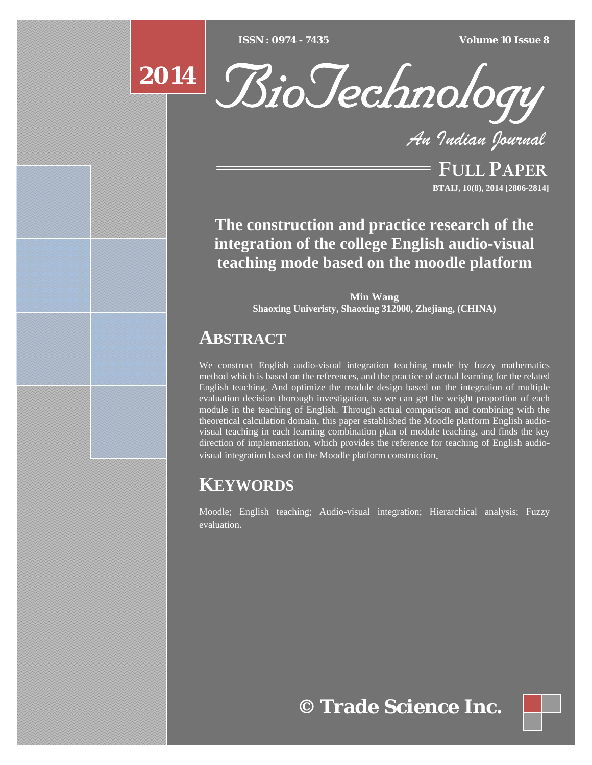[Type text] [Type text] [Type text] *ISSN : 0974 - 7435 Volume 10 Issue 8*

# **2014**



*An Indian Journal*

FULL PAPER **BTAIJ, 10(8), 2014 [2806-2814]**

**The construction and practice research of the integration of the college English audio-visual teaching mode based on the moodle platform** 

> **Min Wang Shaoxing Univeristy, Shaoxing 312000, Zhejiang, (CHINA)**

## **ABSTRACT**

We construct English audio-visual integration teaching mode by fuzzy mathematics method which is based on the references, and the practice of actual learning for the related English teaching. And optimize the module design based on the integration of multiple evaluation decision thorough investigation, so we can get the weight proportion of each module in the teaching of English. Through actual comparison and combining with the theoretical calculation domain, this paper established the Moodle platform English audiovisual teaching in each learning combination plan of module teaching, and finds the key direction of implementation, which provides the reference for teaching of English audiovisual integration based on the Moodle platform construction.

# **KEYWORDS**

Moodle; English teaching; Audio-visual integration; Hierarchical analysis; Fuzzy evaluation.

**© Trade Science Inc.**

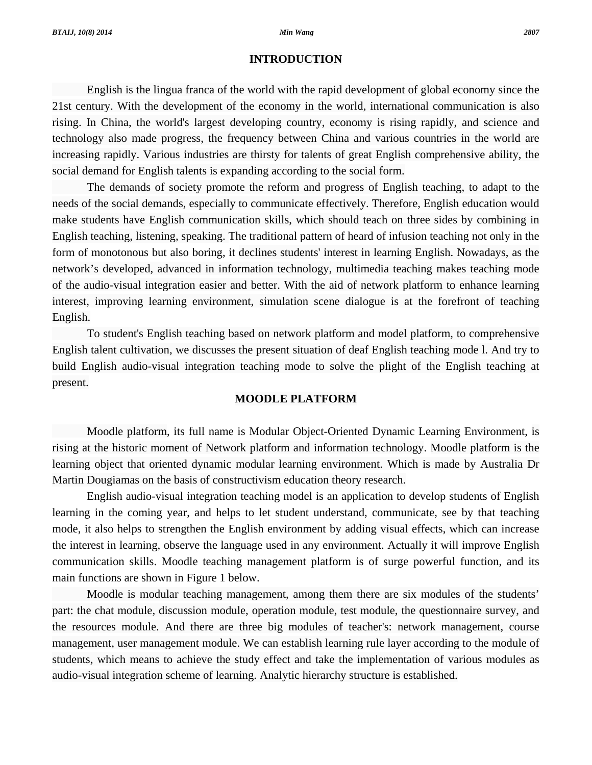#### **INTRODUCTION**

 English is the lingua franca of the world with the rapid development of global economy since the 21st century. With the development of the economy in the world, international communication is also rising. In China, the world's largest developing country, economy is rising rapidly, and science and technology also made progress, the frequency between China and various countries in the world are increasing rapidly. Various industries are thirsty for talents of great English comprehensive ability, the social demand for English talents is expanding according to the social form.

 The demands of society promote the reform and progress of English teaching, to adapt to the needs of the social demands, especially to communicate effectively. Therefore, English education would make students have English communication skills, which should teach on three sides by combining in English teaching, listening, speaking. The traditional pattern of heard of infusion teaching not only in the form of monotonous but also boring, it declines students' interest in learning English. Nowadays, as the network's developed, advanced in information technology, multimedia teaching makes teaching mode of the audio-visual integration easier and better. With the aid of network platform to enhance learning interest, improving learning environment, simulation scene dialogue is at the forefront of teaching English.

 To student's English teaching based on network platform and model platform, to comprehensive English talent cultivation, we discusses the present situation of deaf English teaching mode l. And try to build English audio-visual integration teaching mode to solve the plight of the English teaching at present.

### **MOODLE PLATFORM**

 Moodle platform, its full name is Modular Object-Oriented Dynamic Learning Environment, is rising at the historic moment of Network platform and information technology. Moodle platform is the learning object that oriented dynamic modular learning environment. Which is made by Australia Dr Martin Dougiamas on the basis of constructivism education theory research.

 English audio-visual integration teaching model is an application to develop students of English learning in the coming year, and helps to let student understand, communicate, see by that teaching mode, it also helps to strengthen the English environment by adding visual effects, which can increase the interest in learning, observe the language used in any environment. Actually it will improve English communication skills. Moodle teaching management platform is of surge powerful function, and its main functions are shown in Figure 1 below.

 Moodle is modular teaching management, among them there are six modules of the students' part: the chat module, discussion module, operation module, test module, the questionnaire survey, and the resources module. And there are three big modules of teacher's: network management, course management, user management module. We can establish learning rule layer according to the module of students, which means to achieve the study effect and take the implementation of various modules as audio-visual integration scheme of learning. Analytic hierarchy structure is established.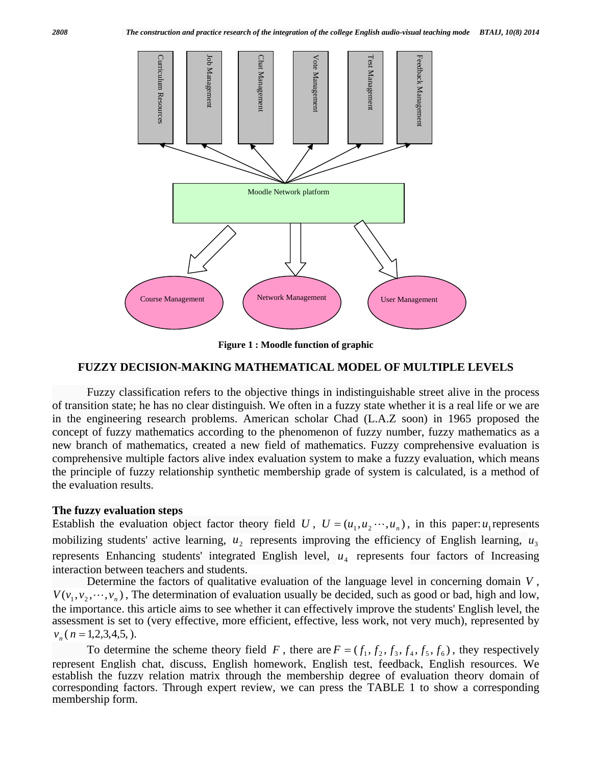

**Figure 1 : Moodle function of graphic** 

#### **FUZZY DECISION-MAKING MATHEMATICAL MODEL OF MULTIPLE LEVELS**

 Fuzzy classification refers to the objective things in indistinguishable street alive in the process of transition state; he has no clear distinguish. We often in a fuzzy state whether it is a real life or we are in the engineering research problems. American scholar Chad (L.A.Z soon) in 1965 proposed the concept of fuzzy mathematics according to the phenomenon of fuzzy number, fuzzy mathematics as a new branch of mathematics, created a new field of mathematics. Fuzzy comprehensive evaluation is comprehensive multiple factors alive index evaluation system to make a fuzzy evaluation, which means the principle of fuzzy relationship synthetic membership grade of system is calculated, is a method of the evaluation results.

#### **The fuzzy evaluation steps**

Establish the evaluation object factor theory field *U*,  $U = (u_1, u_2, \dots, u_n)$ , in this paper:  $u_1$  represents mobilizing students' active learning,  $u_2$  represents improving the efficiency of English learning,  $u_3$ represents Enhancing students' integrated English level,  $u_4$  represents four factors of Increasing interaction between teachers and students.

 Determine the factors of qualitative evaluation of the language level in concerning domain *V* ,  $V(v_1, v_2, \dots, v_n)$ , The determination of evaluation usually be decided, such as good or bad, high and low, the importance. this article aims to see whether it can effectively improve the students' English level, the assessment is set to (very effective, more efficient, effective, less work, not very much), represented by  $v_n(n=1,2,3,4,5,).$ 

To determine the scheme theory field *F*, there are  $F = (f_1, f_2, f_3, f_4, f_5, f_6)$ , they respectively represent English chat, discuss, English homework, English test, feedback, English resources. We establish the fuzzy relation matrix through the membership degree of evaluation theory domain of corresponding factors. Through expert review, we can press the TABLE 1 to show a corresponding membership form.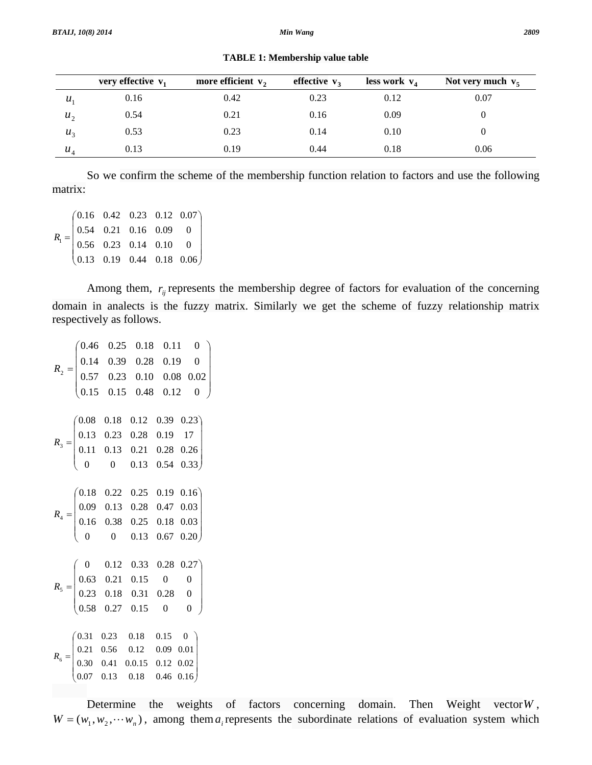|                  | very effective $v_1$ | more efficient $v_2$ | effective $v_3$ | less work $v_4$ | Not very much $v_5$ |
|------------------|----------------------|----------------------|-----------------|-----------------|---------------------|
| $\boldsymbol{u}$ | 0.16                 | 0.42                 | 0.23            | 0.12            | 0.07                |
| $u_{\gamma}$     | 0.54                 | 0.21                 | 0.16            | 0.09            |                     |
| $u_{\alpha}$     | 0.53                 | 0.23                 | 0.14            | 0.10            | O                   |
| $u_{4}$          | 0.13                 | 0.19                 | 0.44            | 0.18            | 0.06                |

**TABLE 1: Membership value table** 

 So we confirm the scheme of the membership function relation to factors and use the following matrix:

 $\overline{\phantom{a}}$  $\overline{\phantom{a}}$  $\overline{\phantom{a}}$  $\overline{\phantom{a}}$ ⎠ ⎞  $\parallel$  $\lfloor$  $\lfloor$  $\mathsf I$ ⎝  $\big($ = 0.06 0 0 0.07 0.13 0.19 0.44 0.18 0.56 0.23 0.14 0.10 0.54 0.21 0.16 0.09 0.16 0.42 0.23 0.12  $R<sub>1</sub>$ 

Among them,  $r_{ij}$  represents the membership degree of factors for evaluation of the concerning domain in analects is the fuzzy matrix. Similarly we get the scheme of fuzzy relationship matrix respectively as follows.

 $\overline{\phantom{a}}$  $\overline{\phantom{a}}$  $\overline{\phantom{a}}$  $\overline{\phantom{a}}$ ⎠ ⎞  $\vert$  $\mathsf I$  $\mathsf I$  $\mathsf I$ ⎝  $\big($ = 0 0.02 0 0 0.15 0.15 0.48 0.12 0.57 0.23 0.10 0.08 0.14 0.39 0.28 0.19 0.46 0.25 0.18 0.11  $R<sub>2</sub>$  $\frac{1}{2}$  $\overline{\mathfrak{g}}$  $\overline{\mathfrak{g}}$  $\overline{\phantom{a}}$ ⎠ ⎞  $\parallel$  $\mathsf I$  $\mathsf I$  $\mathsf I$ ⎝  $\big($ = 0.33 0.26 17 0.23 0 0 0.13 0.54 0.11 0.13 0.21 0.28 0.13 0.23 0.28 0.19 0.08 0.18 0.12 0.39  $R_{3}$  $\overline{\phantom{a}}$  $\overline{\phantom{a}}$  $\overline{\phantom{a}}$ ⎟ ⎞  $0$  0.13 0.67 0.20)  $\parallel$  $\lfloor$  $\lfloor$  $\int$ ⎝  $=\begin{bmatrix} 0.03 & 0.15 & 0.25 & 0.17 & 0.03 \\ 0.16 & 0.38 & 0.25 & 0.18 & 0.03 \end{bmatrix}$ 0.03 0.16 0.16 0.38 0.25 0.18 0.09 0.13 0.28 0.47 0.18 0.22 0.25 0.19  $R<sub>4</sub>$  $\frac{1}{2}$  $\overline{\mathfrak{g}}$  $\overline{\mathfrak{g}}$  $\overline{\phantom{a}}$ ⎠ ⎞  $\parallel$  $\mathsf I$  $\mathsf I$  $\mathsf I$ ⎝ ⎛ = 0 0 0 0.27 0.58 0.27 0.15 0 0.23 0.18 0.31 0.28 0.63 0.21 0.15 0 0 0.12 0.33 0.28  $R<sub>5</sub>$  $(0.07 \quad 0.13 \quad 0.18 \quad 0.46 \quad 0.16)$ ⎟ ⎟ ⎟ ⎟ ⎞  $\mathsf{L}$ ⎜ ⎜  $\int$  $=\begin{vmatrix} 0.21 & 0.50 & 0.12 & 0.69 & 0.61 \\ 0.30 & 0.41 & 0.0.15 & 0.12 & 0.02 \end{vmatrix}$ 0.01 0 0.30 0.41 0.0.15 0.12 0.21 0.56 0.12 0.09 0.31 0.23 0.18 0.15  $R<sub>6</sub>$ 

 Determine the weights of factors concerning domain. Then Weight vector*W* ,  $W = (w_1, w_2, \dots, w_n)$ , among them  $a_i$  represents the subordinate relations of evaluation system which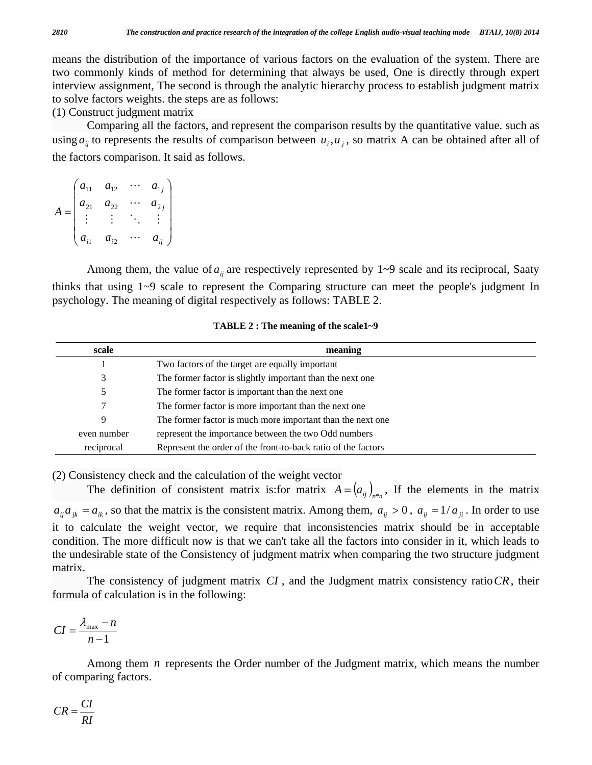means the distribution of the importance of various factors on the evaluation of the system. There are two commonly kinds of method for determining that always be used, One is directly through expert interview assignment, The second is through the analytic hierarchy process to establish judgment matrix to solve factors weights. the steps are as follows:

(1) Construct judgment matrix

 Comparing all the factors, and represent the comparison results by the quantitative value. such as using  $a_{ii}$  to represents the results of comparison between  $u_i, u_j$ , so matrix A can be obtained after all of the factors comparison. It said as follows.

$$
A = \begin{pmatrix} a_{11} & a_{12} & \cdots & a_{1j} \\ a_{21} & a_{22} & \cdots & a_{2j} \\ \vdots & \vdots & \ddots & \vdots \\ a_{i1} & a_{i2} & \cdots & a_{ij} \end{pmatrix}
$$

Among them, the value of  $a_{ii}$  are respectively represented by  $1 \sim 9$  scale and its reciprocal, Saaty thinks that using 1~9 scale to represent the Comparing structure can meet the people's judgment In psychology. The meaning of digital respectively as follows: TABLE 2.

| scale       | meaning                                                       |  |  |  |  |
|-------------|---------------------------------------------------------------|--|--|--|--|
|             | Two factors of the target are equally important               |  |  |  |  |
| 3           | The former factor is slightly important than the next one     |  |  |  |  |
| 5           | The former factor is important than the next one              |  |  |  |  |
| 7           | The former factor is more important than the next one         |  |  |  |  |
| 9           | The former factor is much more important than the next one    |  |  |  |  |
| even number | represent the importance between the two Odd numbers          |  |  |  |  |
| reciprocal  | Represent the order of the front-to-back ratio of the factors |  |  |  |  |

#### **TABLE 2 : The meaning of the scale1~9**

(2) Consistency check and the calculation of the weight vector

The definition of consistent matrix is: for matrix  $A = (a_{ij})_{i,j}$ , If the elements in the matrix  $a_{ij}a_{jk} = a_{ik}$ , so that the matrix is the consistent matrix. Among them,  $a_{ij} > 0$ ,  $a_{ij} = 1/a_{ji}$ . In order to use it to calculate the weight vector, we require that inconsistencies matrix should be in acceptable condition. The more difficult now is that we can't take all the factors into consider in it, which leads to the undesirable state of the Consistency of judgment matrix when comparing the two structure judgment matrix.

 The consistency of judgment matrix *CI* , and the Judgment matrix consistency ratio*CR*, their formula of calculation is in the following:

$$
CI = \frac{\lambda_{\max} - n}{n - 1}
$$

Among them *n* represents the Order number of the Judgment matrix, which means the number of comparing factors.

$$
CR = \frac{CI}{RI}
$$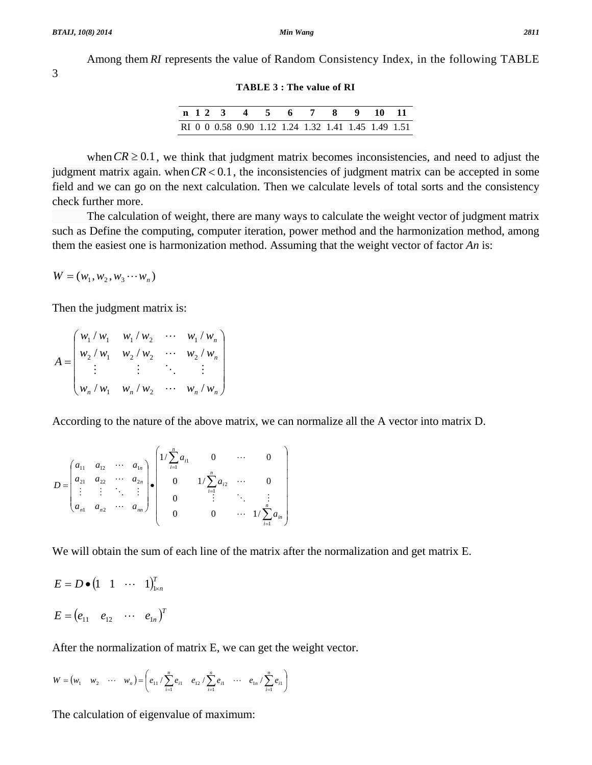Among them *RI* represents the value of Random Consistency Index, in the following TABLE

**TABLE 3 : The value of RI** 

|  |  | n 1 2 3 4 5 6 7 8 9 10 11                           |  |  |  |  |
|--|--|-----------------------------------------------------|--|--|--|--|
|  |  | RI 0 0 0.58 0.90 1.12 1.24 1.32 1.41 1.45 1.49 1.51 |  |  |  |  |

when  $CR \ge 0.1$ , we think that judgment matrix becomes inconsistencies, and need to adjust the judgment matrix again. when  $CR < 0.1$ , the inconsistencies of judgment matrix can be accepted in some field and we can go on the next calculation. Then we calculate levels of total sorts and the consistency check further more.

 The calculation of weight, there are many ways to calculate the weight vector of judgment matrix such as Define the computing, computer iteration, power method and the harmonization method, among them the easiest one is harmonization method. Assuming that the weight vector of factor *An* is:

 $W = (w_1, w_2, w_3 \cdots w_n)$ 

Then the judgment matrix is:

$$
A = \begin{pmatrix} w_1 / w_1 & w_1 / w_2 & \cdots & w_1 / w_n \\ w_2 / w_1 & w_2 / w_2 & \cdots & w_2 / w_n \\ \vdots & \vdots & \ddots & \vdots \\ w_n / w_1 & w_n / w_2 & \cdots & w_n / w_n \end{pmatrix}
$$

According to the nature of the above matrix, we can normalize all the A vector into matrix D.

$$
D = \begin{pmatrix} a_{11} & a_{12} & \cdots & a_{1n} \\ a_{21} & a_{22} & \cdots & a_{2n} \\ \vdots & \vdots & \ddots & \vdots \\ a_{n1} & a_{n2} & \cdots & a_{nn} \end{pmatrix} \cdot \begin{pmatrix} 1/\sum_{i=1}^{n} a_{i1} & 0 & \cdots & 0 \\ 0 & 1/\sum_{i=1}^{n} a_{i2} & \cdots & 0 \\ 0 & \vdots & \ddots & \vdots \\ 0 & 0 & \cdots & 1/\sum_{i=1}^{n} a_{in} \end{pmatrix}
$$

We will obtain the sum of each line of the matrix after the normalization and get matrix E.

$$
E = D \bullet (1 \quad 1 \quad \cdots \quad 1)_{1 \times n}^{T}
$$

$$
E = (e_{11} \quad e_{12} \quad \cdots \quad e_{1n})^{T}
$$

After the normalization of matrix E, we can get the weight vector.

$$
W = (w_1 \quad w_2 \quad \cdots \quad w_n) = \left(e_{11} / \sum_{i=1}^n e_{i1} \quad e_{12} / \sum_{i=1}^n e_{i1} \quad \cdots \quad e_{1n} / \sum_{i=1}^n e_{i1}\right)
$$

The calculation of eigenvalue of maximum: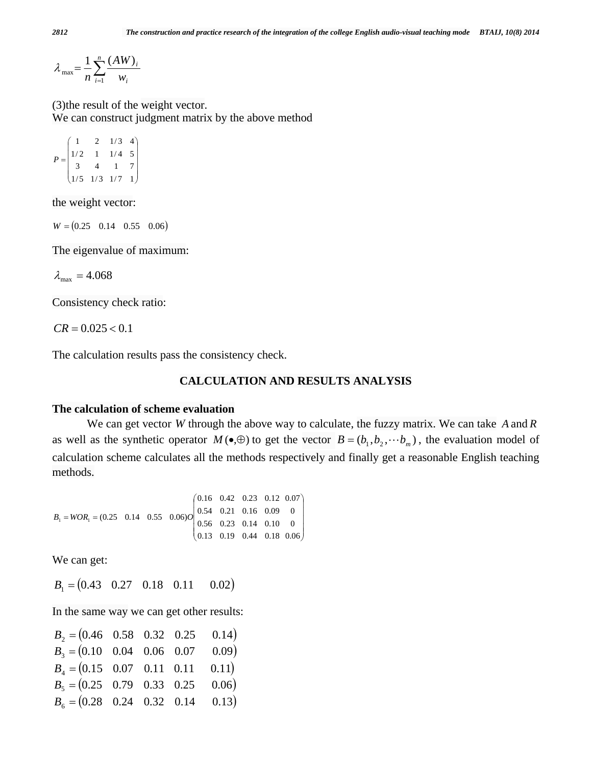$=\frac{1}{n}\sum_{i=1}^{n}$  $i=1$   $W_i$ *i w AW*  $\lambda_{\max} = \frac{1}{n} \sum_{i=1}^{n} \frac{(AW)}{w_i}$ 

(3)the result of the weight vector. We can construct judgment matrix by the above method

$$
P = \begin{pmatrix} 1 & 2 & 1/3 & 4 \\ 1/2 & 1 & 1/4 & 5 \\ 3 & 4 & 1 & 7 \\ 1/5 & 1/3 & 1/7 & 1 \end{pmatrix}
$$

the weight vector:

 $W = (0.25 \quad 0.14 \quad 0.55 \quad 0.06)$ 

The eigenvalue of maximum:

 $\lambda_{\text{max}} = 4.068$ 

Consistency check ratio:

 $CR = 0.025 < 0.1$ 

The calculation results pass the consistency check.

#### **CALCULATION AND RESULTS ANALYSIS**

#### **The calculation of scheme evaluation**

 We can get vector *W* through the above way to calculate, the fuzzy matrix. We can take *A* and *R* as well as the synthetic operator  $M(\bullet,\oplus)$  to get the vector  $B=(b_1,b_2,\cdots b_m)$ , the evaluation model of calculation scheme calculates all the methods respectively and finally get a reasonable English teaching methods.

 $\overline{\phantom{a}}$  $\overline{\phantom{a}}$ ⎟ ⎟  $(0.13 \t0.19 \t0.44 \t0.18 \t0.06)$ ⎞  $\mathsf{L}$  $\mathsf I$  $\mathsf I$ ⎜  $(0.16 \t 0.42 \t 0.23 \t 0.12 \t 0.07$  $= WOR_1 = (0.25 \quad 0.14 \quad 0.55 \quad 0.06)$  0  $\begin{bmatrix} 0.56 & 0.23 & 0.14 & 0.10 \end{bmatrix}$ 0 0.56 0.23 0.14 0.10  $B_1 = WORDR_1 = (0.25 \quad 0.14 \quad 0.55 \quad 0.06)O\left(\begin{array}{ccc} 0.54 & 0.21 & 0.16 & 0.09 \\ 0.56 & 0.22 & 0.14 & 0.10 \end{array}\right)$ 

We can get:

 $B_1 = (0.43 \quad 0.27 \quad 0.18 \quad 0.11 \quad 0.02)$ 

In the same way we can get other results:

| $B_2 = (0.46 \quad 0.58 \quad 0.32 \quad 0.25)$ |  | (0.14) |
|-------------------------------------------------|--|--------|
| $B_3 = (0.10 \quad 0.04 \quad 0.06 \quad 0.07)$ |  | 0.09)  |
| $B_4 = (0.15 \quad 0.07 \quad 0.11 \quad 0.11$  |  | 0.11)  |
| $B_5 = (0.25 \quad 0.79 \quad 0.33 \quad 0.25$  |  | 0.06)  |
| $B_6 = (0.28 \quad 0.24 \quad 0.32 \quad 0.14$  |  | 0.13)  |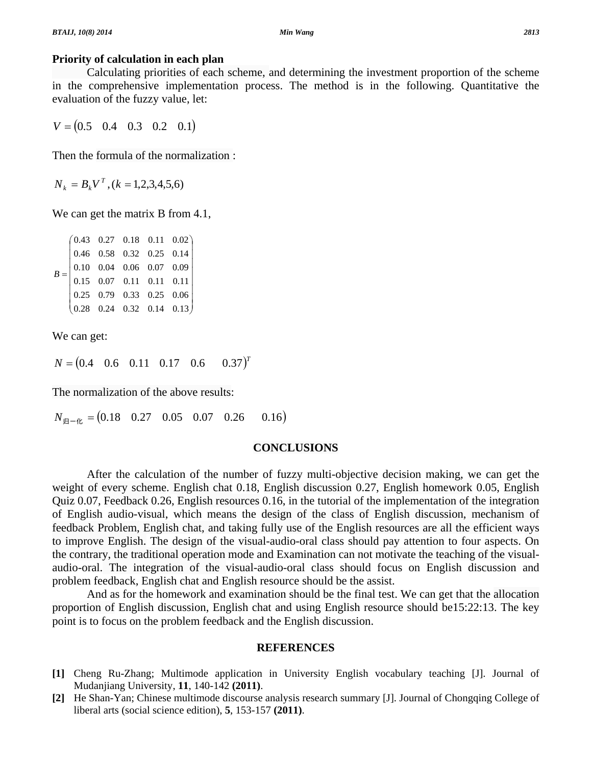#### **Priority of calculation in each plan**

 Calculating priorities of each scheme, and determining the investment proportion of the scheme in the comprehensive implementation process. The method is in the following. Quantitative the evaluation of the fuzzy value, let:

 $V = (0.5 \t 0.4 \t 0.3 \t 0.2 \t 0.1)$ 

Then the formula of the normalization :

 $N_k = B_k V^T$ ,  $(k = 1, 2, 3, 4, 5, 6)$ 

We can get the matrix B from 4.1,

| $B = \begin{pmatrix} 0.43 & 0.27 & 0.18 & 0.11 & 0.02 \\ 0.46 & 0.58 & 0.32 & 0.25 & 0.14 \\ 0.10 & 0.04 & 0.06 & 0.07 & 0.09 \\ 0.15 & 0.07 & 0.11 & 0.11 & 0.11 \\ 0.25 & 0.79 & 0.33 & 0.25 & 0.06 \\ 0.28 & 0.24 & 0.32 & 0.14 & 0.13 \end{pmatrix}$ |  |  |  |
|----------------------------------------------------------------------------------------------------------------------------------------------------------------------------------------------------------------------------------------------------------|--|--|--|
|                                                                                                                                                                                                                                                          |  |  |  |
|                                                                                                                                                                                                                                                          |  |  |  |
|                                                                                                                                                                                                                                                          |  |  |  |
|                                                                                                                                                                                                                                                          |  |  |  |
|                                                                                                                                                                                                                                                          |  |  |  |

We can get:

 $N = (0.4 \quad 0.6 \quad 0.11 \quad 0.17 \quad 0.6 \quad 0.37)^T$ 

The normalization of the above results:

 $N_{\text{H}-\text{R}} = (0.18 \quad 0.27 \quad 0.05 \quad 0.07 \quad 0.26 \quad 0.16)$ 

#### **CONCLUSIONS**

 After the calculation of the number of fuzzy multi-objective decision making, we can get the weight of every scheme. English chat 0.18, English discussion 0.27, English homework 0.05, English Quiz 0.07, Feedback 0.26, English resources 0.16, in the tutorial of the implementation of the integration of English audio-visual, which means the design of the class of English discussion, mechanism of feedback Problem, English chat, and taking fully use of the English resources are all the efficient ways to improve English. The design of the visual-audio-oral class should pay attention to four aspects. On the contrary, the traditional operation mode and Examination can not motivate the teaching of the visualaudio-oral. The integration of the visual-audio-oral class should focus on English discussion and problem feedback, English chat and English resource should be the assist.

 And as for the homework and examination should be the final test. We can get that the allocation proportion of English discussion, English chat and using English resource should be15:22:13. The key point is to focus on the problem feedback and the English discussion.

#### **REFERENCES**

- **[1]** Cheng Ru-Zhang; Multimode application in University English vocabulary teaching [J]. Journal of Mudanjiang University, **11**, 140-142 **(2011)**.
- [2] He Shan-Yan; Chinese multimode discourse analysis research summary [J]. Journal of Chongqing College of liberal arts (social science edition), **5**, 153-157 **(2011)**.